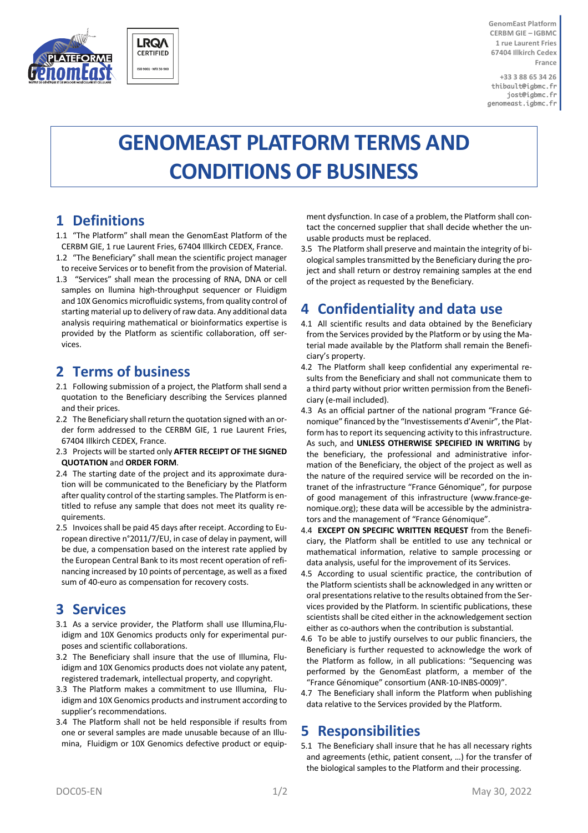



**GenomEast Platform CERBM GIE – IGBMC 1 rue Laurent Fries 67404 Illkirch Cedex France**

**+33 3 88 65 34 26** thibault@igbmc.fr jost@igbmc.fr genomeast.igbmc.fr

# **GENOMEAST PLATFORM TERMS AND CONDITIONS OF BUSINESS**

# **1 Definitions**

- 1.1 "The Platform" shall mean the GenomEast Platform of the CERBM GIE, 1 rue Laurent Fries, 67404 Illkirch CEDEX, France.
- 1.2 "The Beneficiary" shall mean the scientific project manager to receive Services or to benefit from the provision of Material.
- 1.3 "Services" shall mean the processing of RNA, DNA or cell samples on llumina high-throughput sequencer or Fluidigm and 10X Genomics microfluidic systems, from quality control of starting material up to delivery of raw data. Any additional data analysis requiring mathematical or bioinformatics expertise is provided by the Platform as scientific collaboration, off services.

# **2 Terms of business**

- 2.1 Following submission of a project, the Platform shall send a quotation to the Beneficiary describing the Services planned and their prices.
- 2.2 The Beneficiary shall return the quotation signed with an order form addressed to the CERBM GIE, 1 rue Laurent Fries, 67404 Illkirch CEDEX, France.
- 2.3 Projects will be started only **AFTER RECEIPT OF THE SIGNED QUOTATION** and **ORDER FORM**.
- 2.4 The starting date of the project and its approximate duration will be communicated to the Beneficiary by the Platform after quality control of the starting samples. The Platform is entitled to refuse any sample that does not meet its quality requirements.
- 2.5 Invoices shall be paid 45 days after receipt. According to European directive n°2011/7/EU, in case of delay in payment, will be due, a compensation based on the interest rate applied by the European Central Bank to its most recent operation of refinancing increased by 10 points of percentage, as well as a fixed sum of 40-euro as compensation for recovery costs.

#### **3 Services**

- 3.1 As a service provider, the Platform shall use Illumina,Fluidigm and 10X Genomics products only for experimental purposes and scientific collaborations.
- 3.2 The Beneficiary shall insure that the use of Illumina, Fluidigm and 10X Genomics products does not violate any patent, registered trademark, intellectual property, and copyright.
- 3.3 The Platform makes a commitment to use Illumina, Fluidigm and 10X Genomics products and instrument according to supplier's recommendations.
- 3.4 The Platform shall not be held responsible if results from one or several samples are made unusable because of an Illumina, Fluidigm or 10X Genomics defective product or equip-

ment dysfunction. In case of a problem, the Platform shall contact the concerned supplier that shall decide whether the unusable products must be replaced.

3.5 The Platform shall preserve and maintain the integrity of biological samples transmitted by the Beneficiary during the project and shall return or destroy remaining samples at the end of the project as requested by the Beneficiary.

# **4 Confidentiality and data use**

- 4.1 All scientific results and data obtained by the Beneficiary from the Services provided by the Platform or by using the Material made available by the Platform shall remain the Beneficiary's property.
- 4.2 The Platform shall keep confidential any experimental results from the Beneficiary and shall not communicate them to a third party without prior written permission from the Beneficiary (e-mail included).
- 4.3 As an official partner of the national program "France Génomique" financed by the "Investissements d'Avenir", the Platform has to report its sequencing activity to this infrastructure. As such, and **UNLESS OTHERWISE SPECIFIED IN WRITING** by the beneficiary, the professional and administrative information of the Beneficiary, the object of the project as well as the nature of the required service will be recorded on the intranet of the infrastructure "France Génomique", for purpose of good management of this infrastructure (www.france-genomique.org); these data will be accessible by the administrators and the management of "France Génomique".
- 4.4 **EXCEPT ON SPECIFIC WRITTEN REQUEST** from the Beneficiary, the Platform shall be entitled to use any technical or mathematical information, relative to sample processing or data analysis, useful for the improvement of its Services.
- 4.5 According to usual scientific practice, the contribution of the Platform scientists shall be acknowledged in any written or oral presentations relative to the results obtained from the Services provided by the Platform. In scientific publications, these scientists shall be cited either in the acknowledgement section either as co-authors when the contribution is substantial.
- 4.6 To be able to justify ourselves to our public financiers, the Beneficiary is further requested to acknowledge the work of the Platform as follow, in all publications: "Sequencing was performed by the GenomEast platform, a member of the "France Génomique" consortium (ANR-10-INBS-0009)".
- 4.7 The Beneficiary shall inform the Platform when publishing data relative to the Services provided by the Platform.

#### **5 Responsibilities**

5.1 The Beneficiary shall insure that he has all necessary rights and agreements (ethic, patient consent, …) for the transfer of the biological samples to the Platform and their processing.